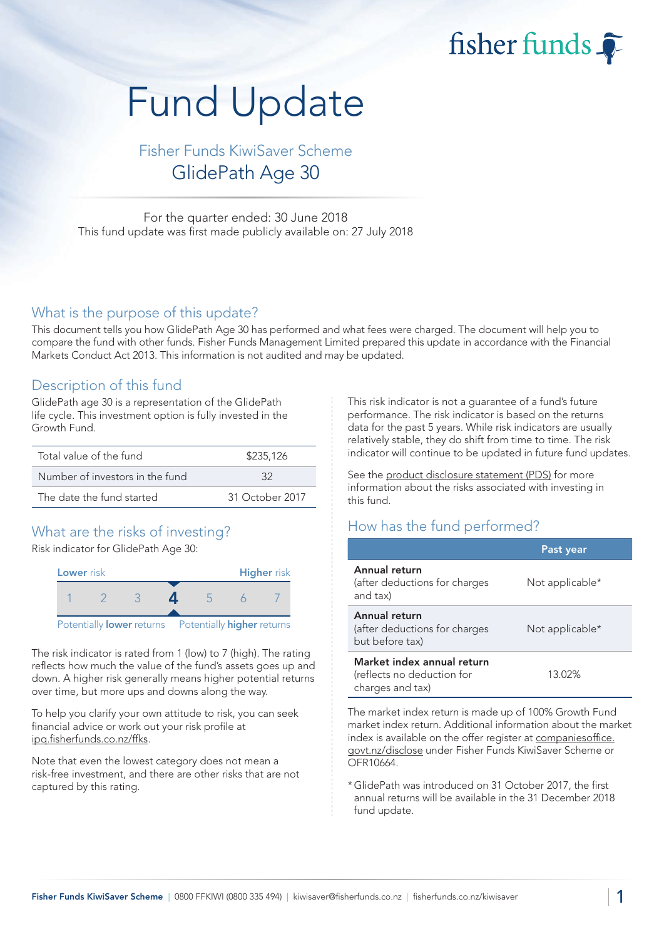fisher funds

# Fund Update

Fisher Funds KiwiSaver Scheme GlidePath Age 30

For the quarter ended: 30 June 2018 This fund update was first made publicly available on: 27 July 2018

#### What is the purpose of this update?

This document tells you how GlidePath Age 30 has performed and what fees were charged. The document will help you to compare the fund with other funds. Fisher Funds Management Limited prepared this update in accordance with the Financial Markets Conduct Act 2013. This information is not audited and may be updated.

## Description of this fund

GlidePath age 30 is a representation of the GlidePath life cycle. This investment option is fully invested in the Growth Fund.

| Total value of the fund         | \$235,126       |  |
|---------------------------------|-----------------|--|
| Number of investors in the fund | -32             |  |
| The date the fund started       | 31 October 2017 |  |

## What are the risks of investing?

Risk indicator for GlidePath Age 30:



The risk indicator is rated from 1 (low) to 7 (high). The rating reflects how much the value of the fund's assets goes up and down. A higher risk generally means higher potential returns over time, but more ups and downs along the way.

To help you clarify your own attitude to risk, you can seek financial advice or work out your risk profile at [ipq.fisherfunds.co.nz/ffks.](https://ipq.fisherfunds.co.nz/ffks)

Note that even the lowest category does not mean a risk-free investment, and there are other risks that are not captured by this rating.

This risk indicator is not a guarantee of a fund's future performance. The risk indicator is based on the returns data for the past 5 years. While risk indicators are usually relatively stable, they do shift from time to time. The risk indicator will continue to be updated in future fund updates.

See the [product disclosure statement \(PDS\)](https://fisherfunds.co.nz/assets/PDS/Fisher-Funds-KiwiSaver-Scheme-PDS.pdf) for more information about the risks associated with investing in this fund.

## How has the fund performed?

|                                                                              | Past year       |
|------------------------------------------------------------------------------|-----------------|
| Annual return<br>(after deductions for charges<br>and tax)                   | Not applicable* |
| Annual return<br>(after deductions for charges<br>but before tax)            | Not applicable* |
| Market index annual return<br>(reflects no deduction for<br>charges and tax) | 13.02%          |

The market index return is made up of 100% Growth Fund market index return. Additional information about the market index is available on the offer register at [companiesoffice.](http://companiesoffice.govt.nz/disclose) [govt.nz/disclose](http://companiesoffice.govt.nz/disclose) under Fisher Funds KiwiSaver Scheme or OFR10664.

\*GlidePath was introduced on 31 October 2017, the first annual returns will be available in the 31 December 2018 fund update.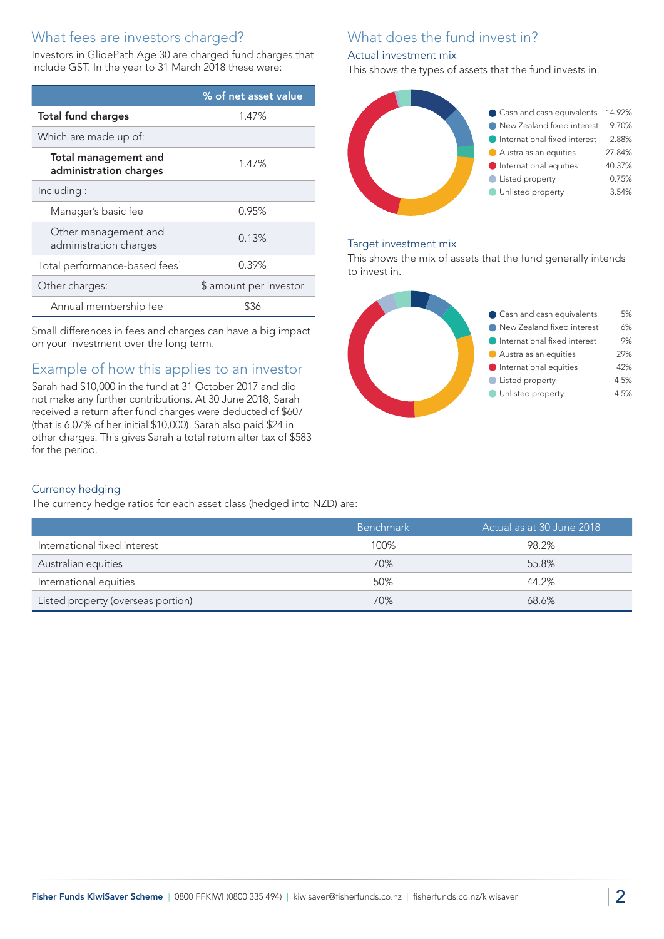# What fees are investors charged?

Investors in GlidePath Age 30 are charged fund charges that include GST. In the year to 31 March 2018 these were:

|                                                       | % of net asset value   |
|-------------------------------------------------------|------------------------|
| <b>Total fund charges</b>                             | 1.47%                  |
| Which are made up of:                                 |                        |
| <b>Total management and</b><br>administration charges | 1.47%                  |
| Including:                                            |                        |
| Manager's basic fee                                   | 0.95%                  |
| Other management and<br>administration charges        | 0.13%                  |
| Total performance-based fees <sup>1</sup>             | 0.39%                  |
| Other charges:                                        | \$ amount per investor |
| Annual membership fee                                 |                        |

Small differences in fees and charges can have a big impact on your investment over the long term.

# Example of how this applies to an investor

Sarah had \$10,000 in the fund at 31 October 2017 and did not make any further contributions. At 30 June 2018, Sarah received a return after fund charges were deducted of \$607 (that is 6.07% of her initial \$10,000). Sarah also paid \$24 in other charges. This gives Sarah a total return after tax of \$583 for the period.

# What does the fund invest in?

#### Actual investment mix

This shows the types of assets that the fund invests in.



#### Target investment mix

This shows the mix of assets that the fund generally intends to invest in.



#### Currency hedging

The currency hedge ratios for each asset class (hedged into NZD) are:

|                                    | Benchmark ' | Actual as at 30 June 2018 |
|------------------------------------|-------------|---------------------------|
| International fixed interest       | 100%        | 98.2%                     |
| Australian equities                | 70%         | 55.8%                     |
| International equities             | 50%         | 44.2%                     |
| Listed property (overseas portion) | 70%         | 68.6%                     |